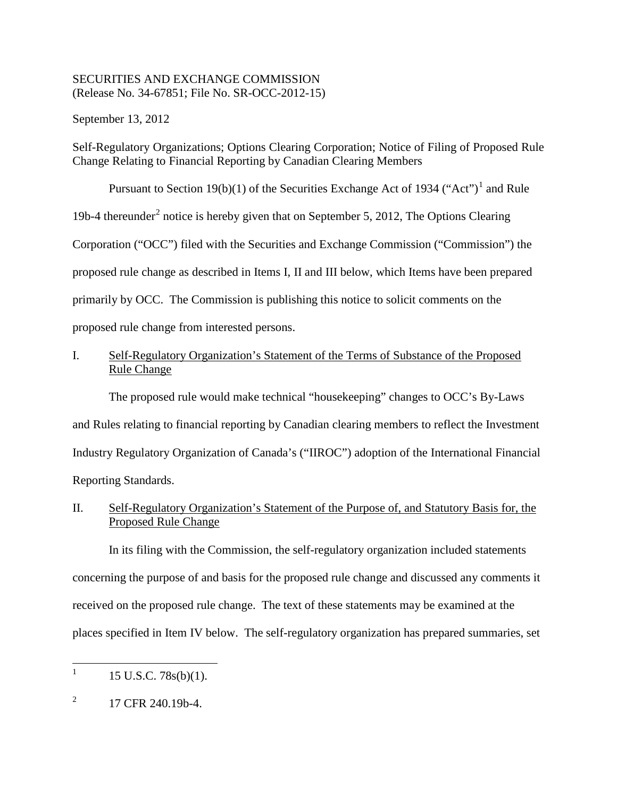## SECURITIES AND EXCHANGE COMMISSION (Release No. 34-67851; File No. SR-OCC-2012-15)

September 13, 2012

Self-Regulatory Organizations; Options Clearing Corporation; Notice of Filing of Proposed Rule Change Relating to Financial Reporting by Canadian Clearing Members

Pursuant to Section [1](#page-0-0)9(b)(1) of the Securities Exchange Act of 1934 ("Act")<sup>1</sup> and Rule 19b-4 thereunder<sup>[2](#page-0-1)</sup> notice is hereby given that on September 5, 2012, The Options Clearing Corporation ("OCC") filed with the Securities and Exchange Commission ("Commission") the proposed rule change as described in Items I, II and III below, which Items have been prepared primarily by OCC. The Commission is publishing this notice to solicit comments on the proposed rule change from interested persons.

# I. Self-Regulatory Organization's Statement of the Terms of Substance of the Proposed Rule Change

The proposed rule would make technical "housekeeping" changes to OCC's By-Laws and Rules relating to financial reporting by Canadian clearing members to reflect the Investment Industry Regulatory Organization of Canada's ("IIROC") adoption of the International Financial Reporting Standards.

II. Self-Regulatory Organization's Statement of the Purpose of, and Statutory Basis for, the Proposed Rule Change

In its filing with the Commission, the self-regulatory organization included statements concerning the purpose of and basis for the proposed rule change and discussed any comments it received on the proposed rule change. The text of these statements may be examined at the places specified in Item IV below. The self-regulatory organization has prepared summaries, set

<span id="page-0-0"></span> $1 \quad 15 \text{ U.S.C. } 78 \text{s(b)}(1).$ 

<span id="page-0-1"></span> $^{2}$  17 CFR 240.19b-4.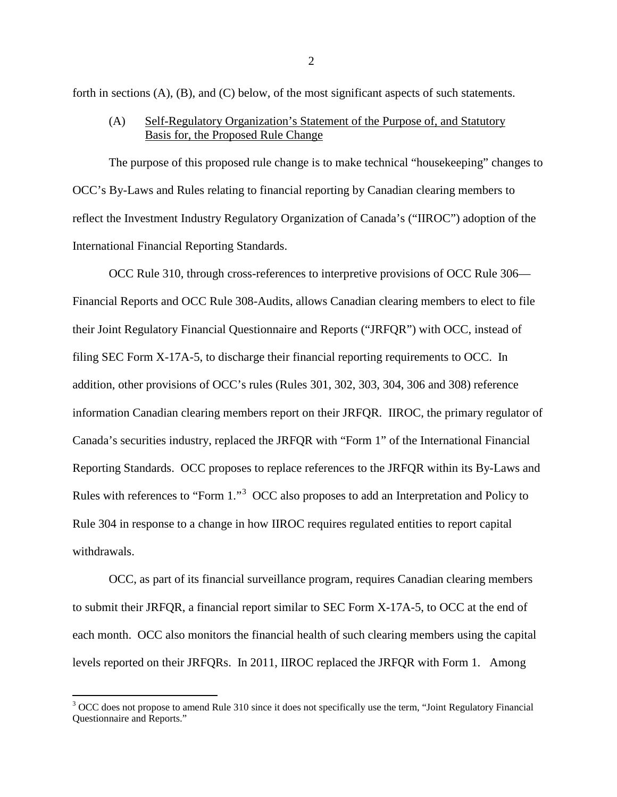forth in sections (A), (B), and (C) below, of the most significant aspects of such statements.

(A) Self-Regulatory Organization's Statement of the Purpose of, and Statutory Basis for, the Proposed Rule Change

The purpose of this proposed rule change is to make technical "housekeeping" changes to OCC's By-Laws and Rules relating to financial reporting by Canadian clearing members to reflect the Investment Industry Regulatory Organization of Canada's ("IIROC") adoption of the International Financial Reporting Standards.

OCC Rule 310, through cross-references to interpretive provisions of OCC Rule 306— Financial Reports and OCC Rule 308-Audits, allows Canadian clearing members to elect to file their Joint Regulatory Financial Questionnaire and Reports ("JRFQR") with OCC, instead of filing SEC Form X-17A-5, to discharge their financial reporting requirements to OCC. In addition, other provisions of OCC's rules (Rules 301, 302, 303, 304, 306 and 308) reference information Canadian clearing members report on their JRFQR. IIROC, the primary regulator of Canada's securities industry, replaced the JRFQR with "Form 1" of the International Financial Reporting Standards. OCC proposes to replace references to the JRFQR within its By-Laws and Rules with references to "Form 1."<sup>[3](#page-1-0)</sup> OCC also proposes to add an Interpretation and Policy to Rule 304 in response to a change in how IIROC requires regulated entities to report capital withdrawals.

OCC, as part of its financial surveillance program, requires Canadian clearing members to submit their JRFQR, a financial report similar to SEC Form X-17A-5, to OCC at the end of each month. OCC also monitors the financial health of such clearing members using the capital levels reported on their JRFQRs. In 2011, IIROC replaced the JRFQR with Form 1. Among

<span id="page-1-0"></span><sup>&</sup>lt;sup>3</sup> OCC does not propose to amend Rule 310 since it does not specifically use the term, "Joint Regulatory Financial Questionnaire and Reports."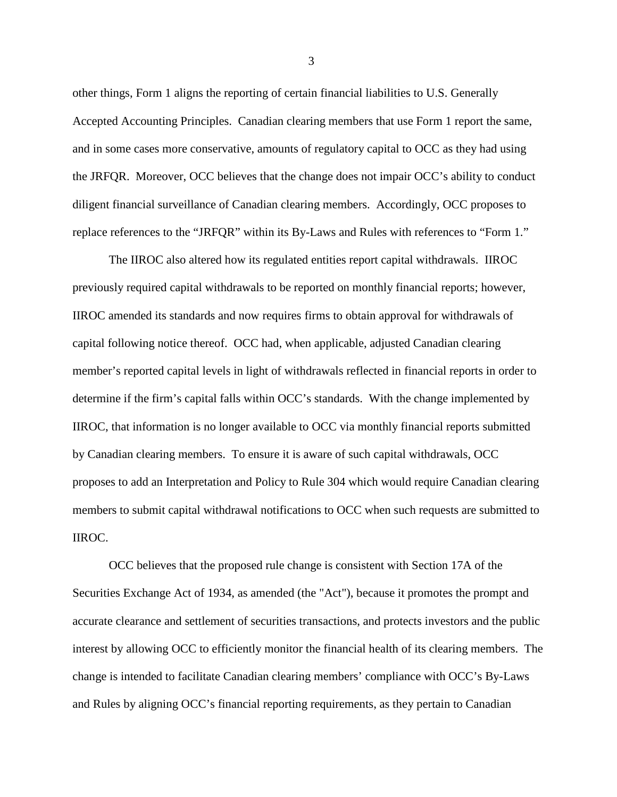other things, Form 1 aligns the reporting of certain financial liabilities to U.S. Generally Accepted Accounting Principles. Canadian clearing members that use Form 1 report the same, and in some cases more conservative, amounts of regulatory capital to OCC as they had using the JRFQR. Moreover, OCC believes that the change does not impair OCC's ability to conduct diligent financial surveillance of Canadian clearing members. Accordingly, OCC proposes to replace references to the "JRFQR" within its By-Laws and Rules with references to "Form 1."

The IIROC also altered how its regulated entities report capital withdrawals. IIROC previously required capital withdrawals to be reported on monthly financial reports; however, IIROC amended its standards and now requires firms to obtain approval for withdrawals of capital following notice thereof. OCC had, when applicable, adjusted Canadian clearing member's reported capital levels in light of withdrawals reflected in financial reports in order to determine if the firm's capital falls within OCC's standards. With the change implemented by IIROC, that information is no longer available to OCC via monthly financial reports submitted by Canadian clearing members. To ensure it is aware of such capital withdrawals, OCC proposes to add an Interpretation and Policy to Rule 304 which would require Canadian clearing members to submit capital withdrawal notifications to OCC when such requests are submitted to IIROC.

OCC believes that the proposed rule change is consistent with Section 17A of the Securities Exchange Act of 1934, as amended (the "Act"), because it promotes the prompt and accurate clearance and settlement of securities transactions, and protects investors and the public interest by allowing OCC to efficiently monitor the financial health of its clearing members. The change is intended to facilitate Canadian clearing members' compliance with OCC's By-Laws and Rules by aligning OCC's financial reporting requirements, as they pertain to Canadian

3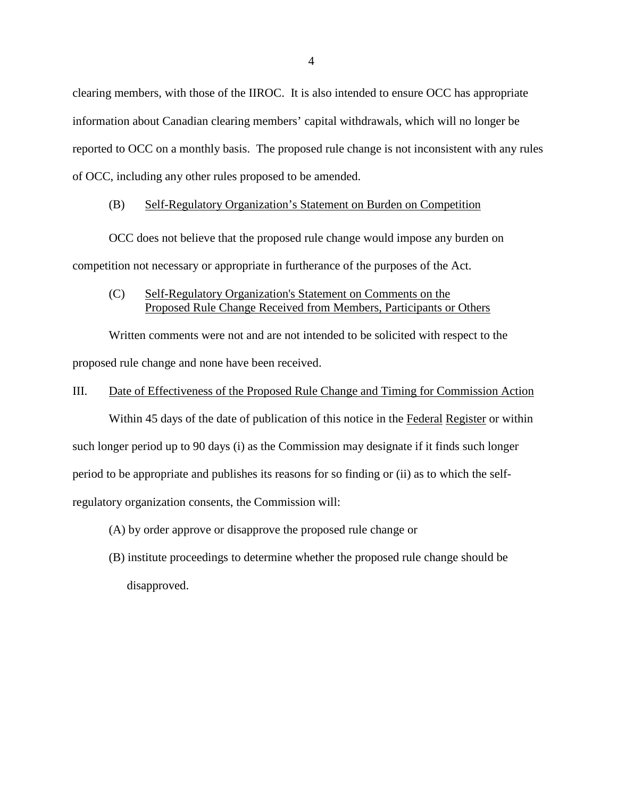clearing members, with those of the IIROC. It is also intended to ensure OCC has appropriate information about Canadian clearing members' capital withdrawals, which will no longer be reported to OCC on a monthly basis. The proposed rule change is not inconsistent with any rules of OCC, including any other rules proposed to be amended.

### (B) Self-Regulatory Organization's Statement on Burden on Competition

OCC does not believe that the proposed rule change would impose any burden on competition not necessary or appropriate in furtherance of the purposes of the Act.

(C) Self-Regulatory Organization's Statement on Comments on the Proposed Rule Change Received from Members, Participants or Others

Written comments were not and are not intended to be solicited with respect to the proposed rule change and none have been received.

### III. Date of Effectiveness of the Proposed Rule Change and Timing for Commission Action

Within 45 days of the date of publication of this notice in the Federal Register or within such longer period up to 90 days (i) as the Commission may designate if it finds such longer period to be appropriate and publishes its reasons for so finding or (ii) as to which the selfregulatory organization consents, the Commission will:

- (A) by order approve or disapprove the proposed rule change or
- (B) institute proceedings to determine whether the proposed rule change should be disapproved.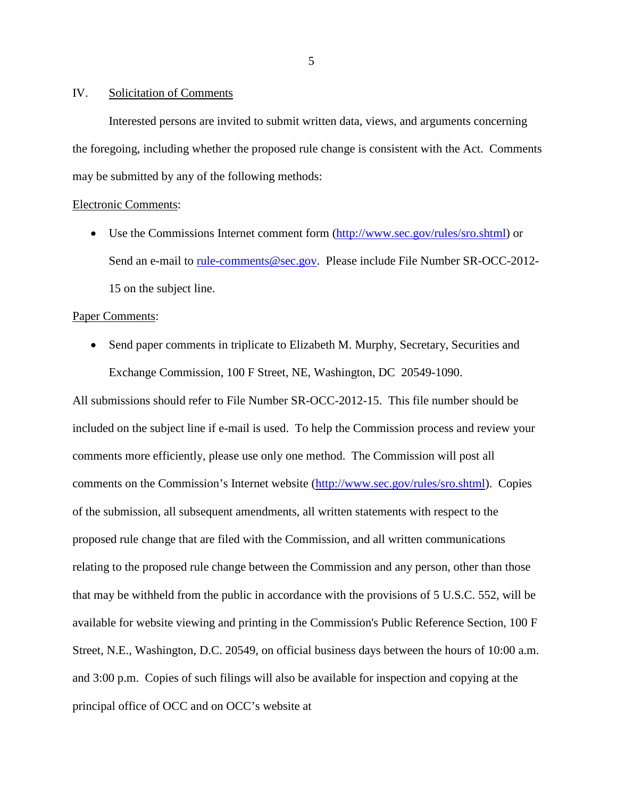#### IV. Solicitation of Comments

Interested persons are invited to submit written data, views, and arguments concerning the foregoing, including whether the proposed rule change is consistent with the Act. Comments may be submitted by any of the following methods:

### Electronic Comments:

• Use the Commissions Internet comment form [\(http://www.sec.gov/rules/sro.shtml\)](http://www.sec.gov/rules/sro.shtml) or Send an e-mail to [rule-comments@sec.gov.](mailto:rule-comments@sec.gov) Please include File Number SR-OCC-2012-15 on the subject line.

### Paper Comments:

• Send paper comments in triplicate to Elizabeth M. Murphy, Secretary, Securities and Exchange Commission, 100 F Street, NE, Washington, DC 20549-1090.

All submissions should refer to File Number SR-OCC-2012-15. This file number should be included on the subject line if e-mail is used. To help the Commission process and review your comments more efficiently, please use only one method. The Commission will post all comments on the Commission's Internet website [\(http://www.sec.gov/rules/sro.shtml\)](http://www.sec.gov/rules/sro.shtml). Copies of the submission, all subsequent amendments, all written statements with respect to the proposed rule change that are filed with the Commission, and all written communications relating to the proposed rule change between the Commission and any person, other than those that may be withheld from the public in accordance with the provisions of 5 U.S.C. 552, will be available for website viewing and printing in the Commission's Public Reference Section, 100 F Street, N.E., Washington, D.C. 20549, on official business days between the hours of 10:00 a.m. and 3:00 p.m. Copies of such filings will also be available for inspection and copying at the principal office of OCC and on OCC's website at